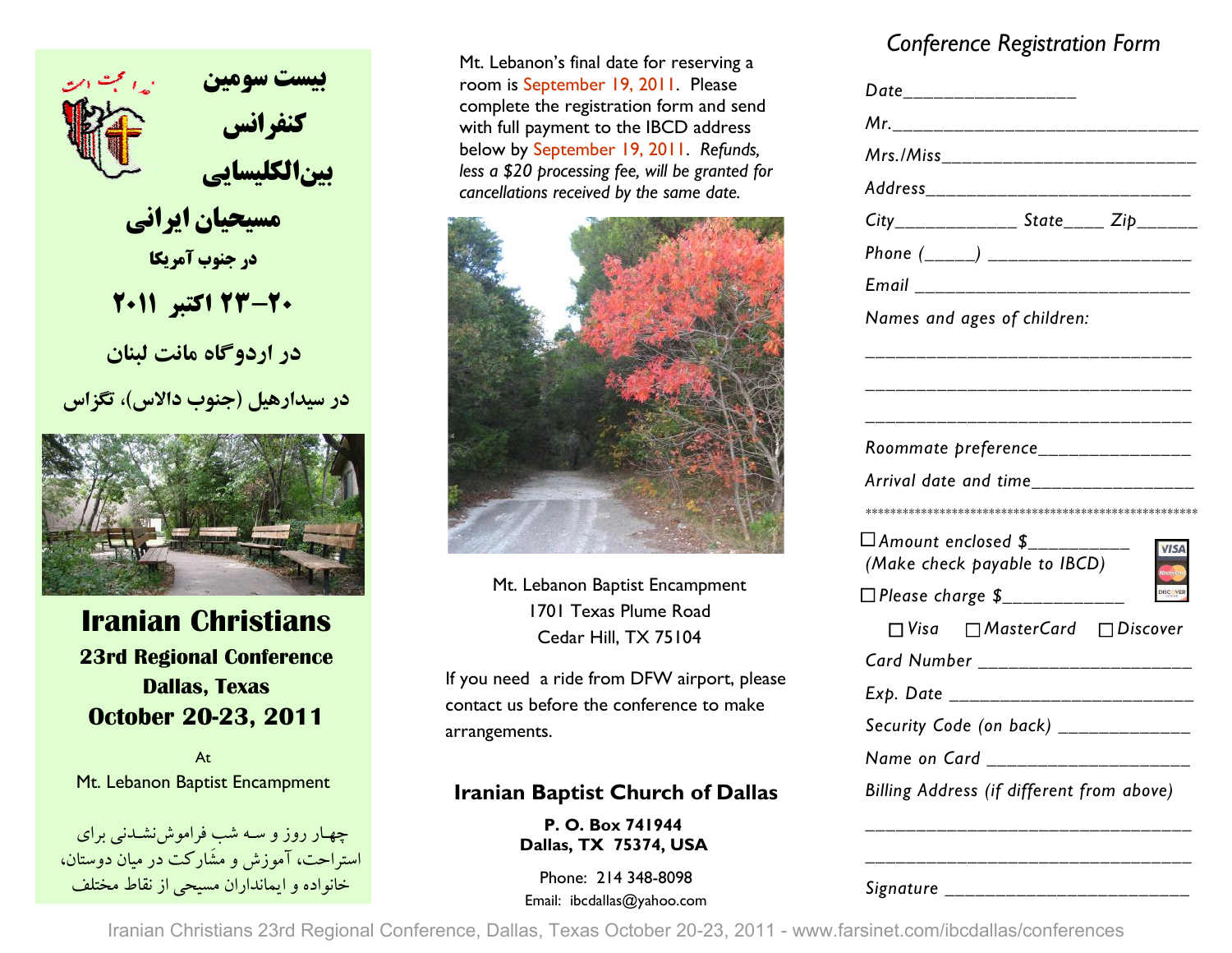

 **مسيحيان ايراني در جنوب آمريكا**

**23-20 اكتبر <sup>2011</sup>**

 **در اردوگاه مانت لبنان**

**در سيدارهيل (جنوب دالاس) ، تگزاس** 



## **Iranian Christians 23rd Regional Conference Dallas, Texas October 20-23, 2011**

AtMt. Lebanon Baptist Encampment

-چهــار روز و ســه شب فراموشiشــدنـی برای<br>استراحت، آموزش و مشَارکت در میان دوستان، حانواده و ايمانداران مسيحي از نقاط مختلف Phone: 214 348-8098<br>Email: ibcdallas@yahoo.com

Mt. Lebanon's final date for reserving a room is September 19, 2011. Please complete the registration form and send with full payment to the IBCD address below by September 19, 2011. *Refunds, less a \$20 processing fee, will be granted for cancellations received by the same date.*



Mt. Lebanon Baptist Encampment 1701 Texas Plume Road Cedar Hill, TX 75104

If you need a ride from DFW airport, please contact us before the conference to make arrangements.

### **Iranian Baptist Church of Dallas**

**P. O. Box 741944 Dallas, TX 75374, USA** 

## *Conference Registration Form*

|                                                        | Date__________________                         |  |
|--------------------------------------------------------|------------------------------------------------|--|
| Mr._______________________                             |                                                |  |
| Mrs./Miss________________________                      |                                                |  |
| Address ___________________                            |                                                |  |
| $City$ <sub>_______________</sub> State_____Zip_______ |                                                |  |
| Phone (_____) ____________________                     |                                                |  |
| Email _____________________                            |                                                |  |
| Names and ages of children:                            |                                                |  |
|                                                        |                                                |  |
|                                                        |                                                |  |
|                                                        |                                                |  |
|                                                        |                                                |  |
|                                                        |                                                |  |
| Arrival date and time_________________                 |                                                |  |
|                                                        |                                                |  |
| $\Box$ Amount enclosed $\$_{-----}$                    |                                                |  |
| (Make check payable to IBCD)                           |                                                |  |
| □ Please charge \$___________                          |                                                |  |
|                                                        | $\Box$ Visa $\Box$ Master Card $\Box$ Discover |  |
|                                                        |                                                |  |
| Card Number ______________________                     |                                                |  |
| Exp. Date ___________________                          |                                                |  |
| Security Code (on back) _____________                  |                                                |  |
| Name on Card ____________________                      |                                                |  |
| Billing Address (if different from above)              |                                                |  |

*Signature \_\_\_\_\_\_\_\_\_\_\_\_\_\_\_\_\_\_\_\_\_\_\_\_* 

Iranian Christians 23rd Regional Conference, Dallas, Texas October 20-23, 2011 - www.farsinet.com/ibcdallas/conferences